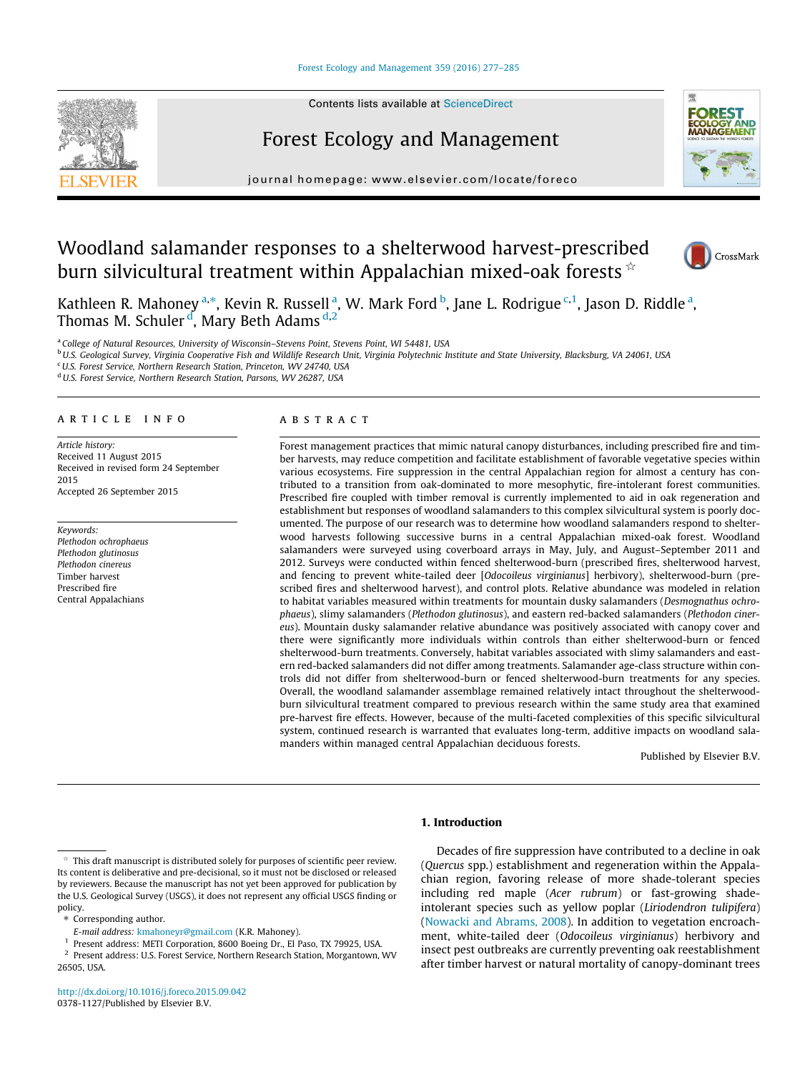# [Forest Ecology and Management 359 \(2016\) 277–285](http://dx.doi.org/10.1016/j.foreco.2015.09.042)



# Forest Ecology and Management



journal homepage: [www.elsevier.com/locate/foreco](http://www.elsevier.com/locate/foreco)

# Woodland salamander responses to a shelterwood harvest-prescribed burn silvicultural treatment within Appalachian mixed-oak forests  $\hat{z}$



Kathleen R. Mahoney <sup>a,</sup>\*, Kevin R. Russell <sup>a</sup>, W. Mark Ford <sup>b</sup>, Jane L. Rodrigue <sup>c,1</sup>, Jason D. Riddle <sup>a</sup>, Thomas M. Schuler <sup>d</sup>, Mary Beth Adams <sup>d,2</sup>

<sup>a</sup> College of Natural Resources, University of Wisconsin–Stevens Point, Stevens Point, WI 54481, USA

<sup>b</sup>U.S. Geological Survey, Virginia Cooperative Fish and Wildlife Research Unit, Virginia Polytechnic Institute and State University, Blacksburg, VA 24061, USA

<sup>c</sup>U.S. Forest Service, Northern Research Station, Princeton, WV 24740, USA

<sup>d</sup> U.S. Forest Service, Northern Research Station, Parsons, WV 26287, USA

# article info

Article history: Received 11 August 2015 Received in revised form 24 September 2015 Accepted 26 September 2015

Keywords: Plethodon ochrophaeus Plethodon glutinosus Plethodon cinereus Timber harvest Prescribed fire Central Appalachians

## ABSTRACT

Forest management practices that mimic natural canopy disturbances, including prescribed fire and timber harvests, may reduce competition and facilitate establishment of favorable vegetative species within various ecosystems. Fire suppression in the central Appalachian region for almost a century has contributed to a transition from oak-dominated to more mesophytic, fire-intolerant forest communities. Prescribed fire coupled with timber removal is currently implemented to aid in oak regeneration and establishment but responses of woodland salamanders to this complex silvicultural system is poorly documented. The purpose of our research was to determine how woodland salamanders respond to shelterwood harvests following successive burns in a central Appalachian mixed-oak forest. Woodland salamanders were surveyed using coverboard arrays in May, July, and August–September 2011 and 2012. Surveys were conducted within fenced shelterwood-burn (prescribed fires, shelterwood harvest, and fencing to prevent white-tailed deer [Odocoileus virginianus] herbivory), shelterwood-burn (prescribed fires and shelterwood harvest), and control plots. Relative abundance was modeled in relation to habitat variables measured within treatments for mountain dusky salamanders (Desmognathus ochrophaeus), slimy salamanders (Plethodon glutinosus), and eastern red-backed salamanders (Plethodon cinereus). Mountain dusky salamander relative abundance was positively associated with canopy cover and there were significantly more individuals within controls than either shelterwood-burn or fenced shelterwood-burn treatments. Conversely, habitat variables associated with slimy salamanders and eastern red-backed salamanders did not differ among treatments. Salamander age-class structure within controls did not differ from shelterwood-burn or fenced shelterwood-burn treatments for any species. Overall, the woodland salamander assemblage remained relatively intact throughout the shelterwoodburn silvicultural treatment compared to previous research within the same study area that examined pre-harvest fire effects. However, because of the multi-faceted complexities of this specific silvicultural system, continued research is warranted that evaluates long-term, additive impacts on woodland salamanders within managed central Appalachian deciduous forests.

Published by Elsevier B.V.

# 1. Introduction

\* Corresponding author.

Decades of fire suppression have contributed to a decline in oak (Quercus spp.) establishment and regeneration within the Appalachian region, favoring release of more shade-tolerant species including red maple (Acer rubrum) or fast-growing shadeintolerant species such as yellow poplar (Liriodendron tulipifera) ([Nowacki and Abrams, 2008\)](#page-7-0). In addition to vegetation encroachment, white-tailed deer (Odocoileus virginianus) herbivory and insect pest outbreaks are currently preventing oak reestablishment after timber harvest or natural mortality of canopy-dominant trees

This draft manuscript is distributed solely for purposes of scientific peer review. Its content is deliberative and pre-decisional, so it must not be disclosed or released by reviewers. Because the manuscript has not yet been approved for publication by the U.S. Geological Survey (USGS), it does not represent any official USGS finding or policy.

E-mail address: [kmahoneyr@gmail.com](mailto:kmahoneyr@gmail.com) (K.R. Mahoney).

Present address: METI Corporation, 8600 Boeing Dr., El Paso, TX 79925, USA.

<sup>&</sup>lt;sup>2</sup> Present address: U.S. Forest Service, Northern Research Station, Morgantown, WV 26505, USA.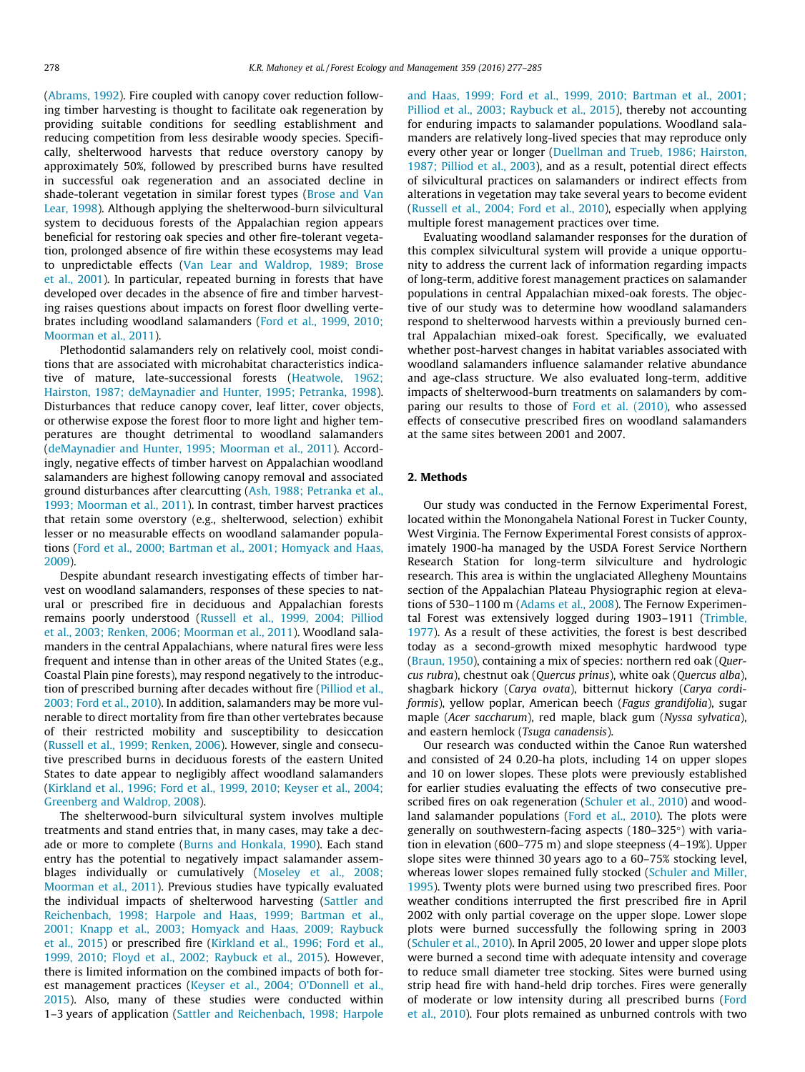([Abrams, 1992](#page-7-0)). Fire coupled with canopy cover reduction following timber harvesting is thought to facilitate oak regeneration by providing suitable conditions for seedling establishment and reducing competition from less desirable woody species. Specifically, shelterwood harvests that reduce overstory canopy by approximately 50%, followed by prescribed burns have resulted in successful oak regeneration and an associated decline in shade-tolerant vegetation in similar forest types [\(Brose and Van](#page-7-0) [Lear, 1998](#page-7-0)). Although applying the shelterwood-burn silvicultural system to deciduous forests of the Appalachian region appears beneficial for restoring oak species and other fire-tolerant vegetation, prolonged absence of fire within these ecosystems may lead to unpredictable effects ([Van Lear and Waldrop, 1989; Brose](#page-8-0) [et al., 2001](#page-8-0)). In particular, repeated burning in forests that have developed over decades in the absence of fire and timber harvesting raises questions about impacts on forest floor dwelling vertebrates including woodland salamanders ([Ford et al., 1999, 2010;](#page-7-0) [Moorman et al., 2011](#page-7-0)).

Plethodontid salamanders rely on relatively cool, moist conditions that are associated with microhabitat characteristics indicative of mature, late-successional forests ([Heatwole, 1962;](#page-7-0) [Hairston, 1987; deMaynadier and Hunter, 1995; Petranka, 1998\)](#page-7-0). Disturbances that reduce canopy cover, leaf litter, cover objects, or otherwise expose the forest floor to more light and higher temperatures are thought detrimental to woodland salamanders ([deMaynadier and Hunter, 1995; Moorman et al., 2011](#page-7-0)). Accordingly, negative effects of timber harvest on Appalachian woodland salamanders are highest following canopy removal and associated ground disturbances after clearcutting [\(Ash, 1988; Petranka et al.,](#page-7-0) [1993; Moorman et al., 2011\)](#page-7-0). In contrast, timber harvest practices that retain some overstory (e.g., shelterwood, selection) exhibit lesser or no measurable effects on woodland salamander populations [\(Ford et al., 2000; Bartman et al., 2001; Homyack and Haas,](#page-7-0) [2009\)](#page-7-0).

Despite abundant research investigating effects of timber harvest on woodland salamanders, responses of these species to natural or prescribed fire in deciduous and Appalachian forests remains poorly understood [\(Russell et al., 1999, 2004; Pilliod](#page-8-0) [et al., 2003; Renken, 2006; Moorman et al., 2011](#page-8-0)). Woodland salamanders in the central Appalachians, where natural fires were less frequent and intense than in other areas of the United States (e.g., Coastal Plain pine forests), may respond negatively to the introduction of prescribed burning after decades without fire [\(Pilliod et al.,](#page-7-0) [2003; Ford et al., 2010](#page-7-0)). In addition, salamanders may be more vulnerable to direct mortality from fire than other vertebrates because of their restricted mobility and susceptibility to desiccation ([Russell et al., 1999; Renken, 2006](#page-8-0)). However, single and consecutive prescribed burns in deciduous forests of the eastern United States to date appear to negligibly affect woodland salamanders ([Kirkland et al., 1996; Ford et al., 1999, 2010; Keyser et al., 2004;](#page-7-0) [Greenberg and Waldrop, 2008\)](#page-7-0).

The shelterwood-burn silvicultural system involves multiple treatments and stand entries that, in many cases, may take a decade or more to complete [\(Burns and Honkala, 1990\)](#page-7-0). Each stand entry has the potential to negatively impact salamander assemblages individually or cumulatively ([Moseley et al., 2008;](#page-7-0) [Moorman et al., 2011](#page-7-0)). Previous studies have typically evaluated the individual impacts of shelterwood harvesting [\(Sattler and](#page-8-0) [Reichenbach, 1998; Harpole and Haas, 1999; Bartman et al.,](#page-8-0) [2001; Knapp et al., 2003; Homyack and Haas, 2009; Raybuck](#page-8-0) [et al., 2015](#page-8-0)) or prescribed fire [\(Kirkland et al., 1996; Ford et al.,](#page-7-0) [1999, 2010; Floyd et al., 2002; Raybuck et al., 2015](#page-7-0)). However, there is limited information on the combined impacts of both forest management practices [\(Keyser et al., 2004; O'Donnell et al.,](#page-7-0) [2015\)](#page-7-0). Also, many of these studies were conducted within 1–3 years of application [\(Sattler and Reichenbach, 1998; Harpole](#page-8-0) [and Haas, 1999; Ford et al., 1999, 2010; Bartman et al., 2001;](#page-8-0) [Pilliod et al., 2003; Raybuck et al., 2015\)](#page-8-0), thereby not accounting for enduring impacts to salamander populations. Woodland salamanders are relatively long-lived species that may reproduce only every other year or longer [\(Duellman and Trueb, 1986; Hairston,](#page-7-0) [1987; Pilliod et al., 2003](#page-7-0)), and as a result, potential direct effects of silvicultural practices on salamanders or indirect effects from alterations in vegetation may take several years to become evident ([Russell et al., 2004; Ford et al., 2010](#page-8-0)), especially when applying multiple forest management practices over time.

Evaluating woodland salamander responses for the duration of this complex silvicultural system will provide a unique opportunity to address the current lack of information regarding impacts of long-term, additive forest management practices on salamander populations in central Appalachian mixed-oak forests. The objective of our study was to determine how woodland salamanders respond to shelterwood harvests within a previously burned central Appalachian mixed-oak forest. Specifically, we evaluated whether post-harvest changes in habitat variables associated with woodland salamanders influence salamander relative abundance and age-class structure. We also evaluated long-term, additive impacts of shelterwood-burn treatments on salamanders by comparing our results to those of [Ford et al. \(2010\)](#page-7-0), who assessed effects of consecutive prescribed fires on woodland salamanders at the same sites between 2001 and 2007.

# 2. Methods

Our study was conducted in the Fernow Experimental Forest, located within the Monongahela National Forest in Tucker County, West Virginia. The Fernow Experimental Forest consists of approximately 1900-ha managed by the USDA Forest Service Northern Research Station for long-term silviculture and hydrologic research. This area is within the unglaciated Allegheny Mountains section of the Appalachian Plateau Physiographic region at elevations of 530–1100 m [\(Adams et al., 2008\)](#page-7-0). The Fernow Experimental Forest was extensively logged during 1903–1911 [\(Trimble,](#page-8-0) [1977\)](#page-8-0). As a result of these activities, the forest is best described today as a second-growth mixed mesophytic hardwood type ([Braun, 1950](#page-7-0)), containing a mix of species: northern red oak (Quercus rubra), chestnut oak (Quercus prinus), white oak (Quercus alba), shagbark hickory (Carya ovata), bitternut hickory (Carya cordiformis), yellow poplar, American beech (Fagus grandifolia), sugar maple (Acer saccharum), red maple, black gum (Nyssa sylvatica), and eastern hemlock (Tsuga canadensis).

Our research was conducted within the Canoe Run watershed and consisted of 24 0.20-ha plots, including 14 on upper slopes and 10 on lower slopes. These plots were previously established for earlier studies evaluating the effects of two consecutive prescribed fires on oak regeneration ([Schuler et al., 2010\)](#page-8-0) and woodland salamander populations ([Ford et al., 2010\)](#page-7-0). The plots were generally on southwestern-facing aspects  $(180-325)$  with variation in elevation (600–775 m) and slope steepness (4–19%). Upper slope sites were thinned 30 years ago to a 60–75% stocking level, whereas lower slopes remained fully stocked [\(Schuler and Miller,](#page-8-0) [1995\)](#page-8-0). Twenty plots were burned using two prescribed fires. Poor weather conditions interrupted the first prescribed fire in April 2002 with only partial coverage on the upper slope. Lower slope plots were burned successfully the following spring in 2003 ([Schuler et al., 2010](#page-8-0)). In April 2005, 20 lower and upper slope plots were burned a second time with adequate intensity and coverage to reduce small diameter tree stocking. Sites were burned using strip head fire with hand-held drip torches. Fires were generally of moderate or low intensity during all prescribed burns ([Ford](#page-7-0) [et al., 2010\)](#page-7-0). Four plots remained as unburned controls with two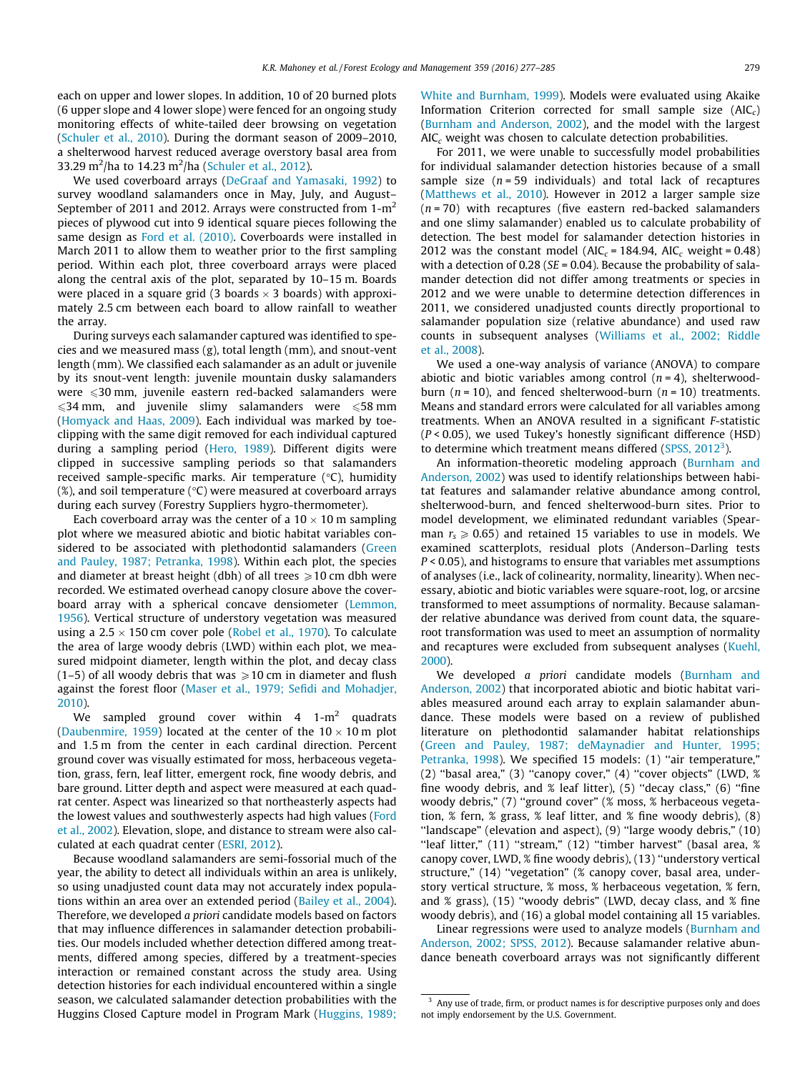each on upper and lower slopes. In addition, 10 of 20 burned plots (6 upper slope and 4 lower slope) were fenced for an ongoing study monitoring effects of white-tailed deer browsing on vegetation ([Schuler et al., 2010\)](#page-8-0). During the dormant season of 2009–2010, a shelterwood harvest reduced average overstory basal area from 33.29 m<sup>2</sup>/ha to 14.23 m<sup>2</sup>/ha [\(Schuler et al., 2012](#page-8-0)).

We used coverboard arrays [\(DeGraaf and Yamasaki, 1992](#page-7-0)) to survey woodland salamanders once in May, July, and August– September of 2011 and 2012. Arrays were constructed from  $1-m^2$ pieces of plywood cut into 9 identical square pieces following the same design as [Ford et al. \(2010\).](#page-7-0) Coverboards were installed in March 2011 to allow them to weather prior to the first sampling period. Within each plot, three coverboard arrays were placed along the central axis of the plot, separated by 10–15 m. Boards were placed in a square grid (3 boards  $\times$  3 boards) with approximately 2.5 cm between each board to allow rainfall to weather the array.

During surveys each salamander captured was identified to species and we measured mass (g), total length (mm), and snout-vent length (mm). We classified each salamander as an adult or juvenile by its snout-vent length: juvenile mountain dusky salamanders were 630 mm, juvenile eastern red-backed salamanders were  $\leqslant$ 34 mm, and juvenile slimy salamanders were  $\leqslant$ 58 mm ([Homyack and Haas, 2009](#page-7-0)). Each individual was marked by toeclipping with the same digit removed for each individual captured during a sampling period ([Hero, 1989](#page-7-0)). Different digits were clipped in successive sampling periods so that salamanders received sample-specific marks. Air temperature  $(°C)$ , humidity  $(\%)$ , and soil temperature ( $\degree$ C) were measured at coverboard arrays during each survey (Forestry Suppliers hygro-thermometer).

Each coverboard array was the center of a  $10 \times 10$  m sampling plot where we measured abiotic and biotic habitat variables con-sidered to be associated with plethodontid salamanders [\(Green](#page-7-0) [and Pauley, 1987; Petranka, 1998\)](#page-7-0). Within each plot, the species and diameter at breast height (dbh) of all trees  $\geq 10$  cm dbh were recorded. We estimated overhead canopy closure above the coverboard array with a spherical concave densiometer ([Lemmon,](#page-7-0) [1956\)](#page-7-0). Vertical structure of understory vegetation was measured using a 2.5  $\times$  150 cm cover pole [\(Robel et al., 1970\)](#page-8-0). To calculate the area of large woody debris (LWD) within each plot, we measured midpoint diameter, length within the plot, and decay class (1–5) of all woody debris that was  $\geq 10$  cm in diameter and flush against the forest floor [\(Maser et al., 1979; Sefidi and Mohadjer,](#page-7-0) [2010](#page-7-0)).

We sampled ground cover within  $4 \t 1-m^2$  quadrats ([Daubenmire, 1959\)](#page-7-0) located at the center of the  $10 \times 10$  m plot and 1.5 m from the center in each cardinal direction. Percent ground cover was visually estimated for moss, herbaceous vegetation, grass, fern, leaf litter, emergent rock, fine woody debris, and bare ground. Litter depth and aspect were measured at each quadrat center. Aspect was linearized so that northeasterly aspects had the lowest values and southwesterly aspects had high values ([Ford](#page-7-0) [et al., 2002\)](#page-7-0). Elevation, slope, and distance to stream were also calculated at each quadrat center [\(ESRI, 2012](#page-7-0)).

Because woodland salamanders are semi-fossorial much of the year, the ability to detect all individuals within an area is unlikely, so using unadjusted count data may not accurately index populations within an area over an extended period ([Bailey et al., 2004\)](#page-7-0). Therefore, we developed a priori candidate models based on factors that may influence differences in salamander detection probabilities. Our models included whether detection differed among treatments, differed among species, differed by a treatment-species interaction or remained constant across the study area. Using detection histories for each individual encountered within a single season, we calculated salamander detection probabilities with the Huggins Closed Capture model in Program Mark ([Huggins, 1989;](#page-7-0) [White and Burnham, 1999\)](#page-7-0). Models were evaluated using Akaike Information Criterion corrected for small sample size  $(AIC<sub>c</sub>)$ ([Burnham and Anderson, 2002\)](#page-7-0), and the model with the largest  $AIC<sub>c</sub>$  weight was chosen to calculate detection probabilities.

For 2011, we were unable to successfully model probabilities for individual salamander detection histories because of a small sample size  $(n = 59$  individuals) and total lack of recaptures ([Matthews et al., 2010](#page-7-0)). However in 2012 a larger sample size  $(n = 70)$  with recaptures (five eastern red-backed salamanders and one slimy salamander) enabled us to calculate probability of detection. The best model for salamander detection histories in 2012 was the constant model ( $AIC_c = 184.94$ ,  $AIC_c$  weight = 0.48) with a detection of 0.28 ( $SE = 0.04$ ). Because the probability of salamander detection did not differ among treatments or species in 2012 and we were unable to determine detection differences in 2011, we considered unadjusted counts directly proportional to salamander population size (relative abundance) and used raw counts in subsequent analyses ([Williams et al., 2002; Riddle](#page-8-0) [et al., 2008\)](#page-8-0).

We used a one-way analysis of variance (ANOVA) to compare abiotic and biotic variables among control  $(n = 4)$ , shelterwoodburn ( $n = 10$ ), and fenced shelterwood-burn ( $n = 10$ ) treatments. Means and standard errors were calculated for all variables among treatments. When an ANOVA resulted in a significant F-statistic  $(P < 0.05)$ , we used Tukey's honestly significant difference (HSD) to determine which treatment means differed (SPSS,  $2012<sup>3</sup>$ ).

An information-theoretic modeling approach ([Burnham and](#page-7-0) [Anderson, 2002\)](#page-7-0) was used to identify relationships between habitat features and salamander relative abundance among control, shelterwood-burn, and fenced shelterwood-burn sites. Prior to model development, we eliminated redundant variables (Spearman  $r_s \ge 0.65$ ) and retained 15 variables to use in models. We examined scatterplots, residual plots (Anderson–Darling tests P < 0.05), and histograms to ensure that variables met assumptions of analyses (i.e., lack of colinearity, normality, linearity). When necessary, abiotic and biotic variables were square-root, log, or arcsine transformed to meet assumptions of normality. Because salamander relative abundance was derived from count data, the squareroot transformation was used to meet an assumption of normality and recaptures were excluded from subsequent analyses ([Kuehl,](#page-7-0) [2000](#page-7-0)).

We developed a priori candidate models ([Burnham and](#page-7-0) [Anderson, 2002\)](#page-7-0) that incorporated abiotic and biotic habitat variables measured around each array to explain salamander abundance. These models were based on a review of published literature on plethodontid salamander habitat relationships ([Green and Pauley, 1987; deMaynadier and Hunter, 1995;](#page-7-0) [Petranka, 1998](#page-7-0)). We specified 15 models: (1) "air temperature," (2) ''basal area," (3) ''canopy cover," (4) ''cover objects" (LWD, % fine woody debris, and  $%$  leaf litter), (5) "decay class," (6) "fine woody debris," (7) ''ground cover" (% moss, % herbaceous vegetation, % fern, % grass, % leaf litter, and % fine woody debris), (8) ''landscape" (elevation and aspect), (9) ''large woody debris," (10) "leaf litter," (11) "stream," (12) "timber harvest" (basal area, % canopy cover, LWD, % fine woody debris), (13) ''understory vertical structure," (14) "vegetation" (% canopy cover, basal area, understory vertical structure, % moss, % herbaceous vegetation, % fern, and % grass), (15) ''woody debris" (LWD, decay class, and % fine woody debris), and (16) a global model containing all 15 variables.

Linear regressions were used to analyze models ([Burnham and](#page-7-0) [Anderson, 2002; SPSS, 2012](#page-7-0)). Because salamander relative abundance beneath coverboard arrays was not significantly different

<sup>&</sup>lt;sup>3</sup> Any use of trade, firm, or product names is for descriptive purposes only and does not imply endorsement by the U.S. Government.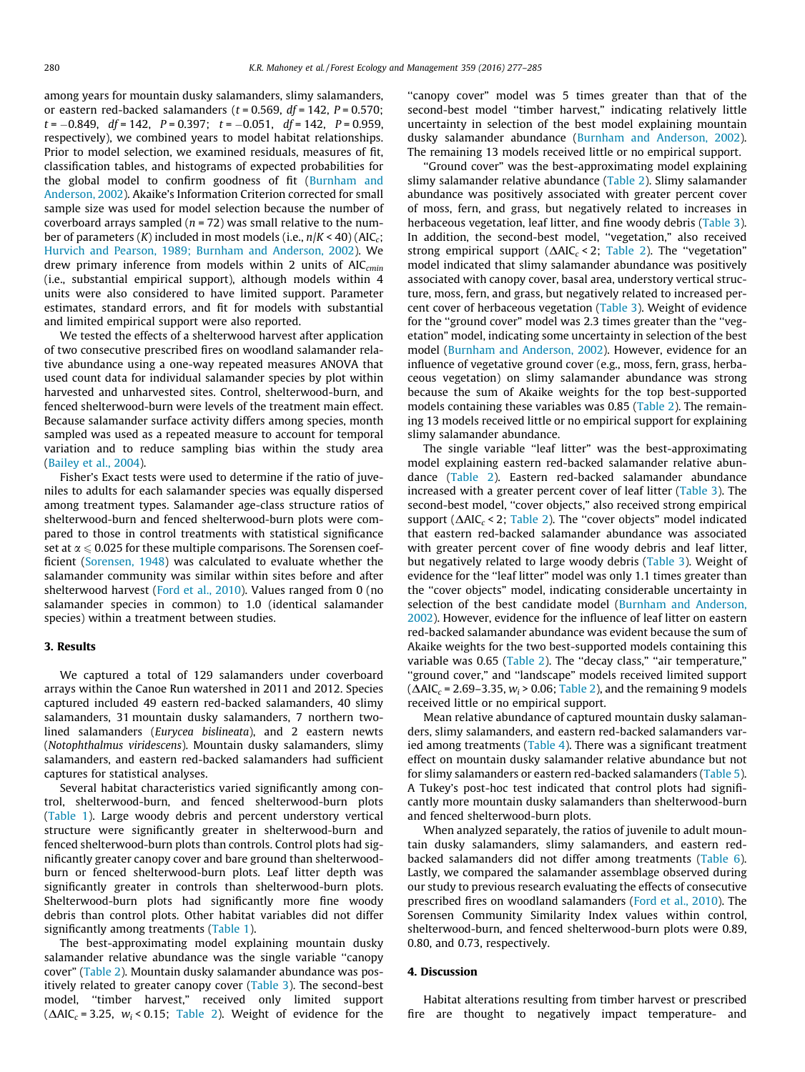among years for mountain dusky salamanders, slimy salamanders, or eastern red-backed salamanders ( $t = 0.569$ ,  $df = 142$ ,  $P = 0.570$ ;  $t = -0.849$ ,  $df = 142$ ,  $P = 0.397$ ;  $t = -0.051$ ,  $df = 142$ ,  $P = 0.959$ . respectively), we combined years to model habitat relationships. Prior to model selection, we examined residuals, measures of fit, classification tables, and histograms of expected probabilities for the global model to confirm goodness of fit ([Burnham and](#page-7-0) [Anderson, 2002](#page-7-0)). Akaike's Information Criterion corrected for small sample size was used for model selection because the number of coverboard arrays sampled ( $n = 72$ ) was small relative to the number of parameters  $(K)$  included in most models (i.e.,  $n/K < 40$ ) (AIC<sub>c</sub>; [Hurvich and Pearson, 1989; Burnham and Anderson, 2002](#page-7-0)). We drew primary inference from models within 2 units of  $AIC_{cmin}$ (i.e., substantial empirical support), although models within 4 units were also considered to have limited support. Parameter estimates, standard errors, and fit for models with substantial and limited empirical support were also reported.

We tested the effects of a shelterwood harvest after application of two consecutive prescribed fires on woodland salamander relative abundance using a one-way repeated measures ANOVA that used count data for individual salamander species by plot within harvested and unharvested sites. Control, shelterwood-burn, and fenced shelterwood-burn were levels of the treatment main effect. Because salamander surface activity differs among species, month sampled was used as a repeated measure to account for temporal variation and to reduce sampling bias within the study area ([Bailey et al., 2004](#page-7-0)).

Fisher's Exact tests were used to determine if the ratio of juveniles to adults for each salamander species was equally dispersed among treatment types. Salamander age-class structure ratios of shelterwood-burn and fenced shelterwood-burn plots were compared to those in control treatments with statistical significance set at  $\alpha \leqslant 0.025$  for these multiple comparisons. The Sorensen coefficient [\(Sorensen, 1948\)](#page-8-0) was calculated to evaluate whether the salamander community was similar within sites before and after shelterwood harvest [\(Ford et al., 2010](#page-7-0)). Values ranged from 0 (no salamander species in common) to 1.0 (identical salamander species) within a treatment between studies.

## 3. Results

We captured a total of 129 salamanders under coverboard arrays within the Canoe Run watershed in 2011 and 2012. Species captured included 49 eastern red-backed salamanders, 40 slimy salamanders, 31 mountain dusky salamanders, 7 northern twolined salamanders (Eurycea bislineata), and 2 eastern newts (Notophthalmus viridescens). Mountain dusky salamanders, slimy salamanders, and eastern red-backed salamanders had sufficient captures for statistical analyses.

Several habitat characteristics varied significantly among control, shelterwood-burn, and fenced shelterwood-burn plots ([Table 1](#page-4-0)). Large woody debris and percent understory vertical structure were significantly greater in shelterwood-burn and fenced shelterwood-burn plots than controls. Control plots had significantly greater canopy cover and bare ground than shelterwoodburn or fenced shelterwood-burn plots. Leaf litter depth was significantly greater in controls than shelterwood-burn plots. Shelterwood-burn plots had significantly more fine woody debris than control plots. Other habitat variables did not differ significantly among treatments [\(Table 1\)](#page-4-0).

The best-approximating model explaining mountain dusky salamander relative abundance was the single variable ''canopy cover" [\(Table 2](#page-4-0)). Mountain dusky salamander abundance was positively related to greater canopy cover ([Table 3\)](#page-5-0). The second-best model, ''timber harvest," received only limited support ( $\Delta AIC_c = 3.25$ ,  $w_i < 0.15$ ; [Table 2](#page-4-0)). Weight of evidence for the "canopy cover" model was 5 times greater than that of the second-best model ''timber harvest," indicating relatively little uncertainty in selection of the best model explaining mountain dusky salamander abundance [\(Burnham and Anderson, 2002\)](#page-7-0). The remaining 13 models received little or no empirical support.

''Ground cover" was the best-approximating model explaining slimy salamander relative abundance ([Table 2](#page-4-0)). Slimy salamander abundance was positively associated with greater percent cover of moss, fern, and grass, but negatively related to increases in herbaceous vegetation, leaf litter, and fine woody debris [\(Table 3\)](#page-5-0). In addition, the second-best model, ''vegetation," also received strong empirical support ( $\Delta AIC_c < 2$ ; [Table 2](#page-4-0)). The "vegetation" model indicated that slimy salamander abundance was positively associated with canopy cover, basal area, understory vertical structure, moss, fern, and grass, but negatively related to increased percent cover of herbaceous vegetation [\(Table 3\)](#page-5-0). Weight of evidence for the ''ground cover" model was 2.3 times greater than the ''vegetation" model, indicating some uncertainty in selection of the best model ([Burnham and Anderson, 2002](#page-7-0)). However, evidence for an influence of vegetative ground cover (e.g., moss, fern, grass, herbaceous vegetation) on slimy salamander abundance was strong because the sum of Akaike weights for the top best-supported models containing these variables was 0.85 ([Table 2](#page-4-0)). The remaining 13 models received little or no empirical support for explaining slimy salamander abundance.

The single variable ''leaf litter" was the best-approximating model explaining eastern red-backed salamander relative abundance ([Table 2\)](#page-4-0). Eastern red-backed salamander abundance increased with a greater percent cover of leaf litter [\(Table 3](#page-5-0)). The second-best model, ''cover objects," also received strong empirical support ( $\triangle AIC_c$  < 2; [Table 2](#page-4-0)). The "cover objects" model indicated that eastern red-backed salamander abundance was associated with greater percent cover of fine woody debris and leaf litter, but negatively related to large woody debris ([Table 3\)](#page-5-0). Weight of evidence for the ''leaf litter" model was only 1.1 times greater than the ''cover objects" model, indicating considerable uncertainty in selection of the best candidate model [\(Burnham and Anderson,](#page-7-0) [2002\)](#page-7-0). However, evidence for the influence of leaf litter on eastern red-backed salamander abundance was evident because the sum of Akaike weights for the two best-supported models containing this variable was 0.65 [\(Table 2](#page-4-0)). The "decay class," "air temperature," ''ground cover," and ''landscape" models received limited support  $(\Delta AIC_c = 2.69 - 3.35, w_i > 0.06;$  [Table 2](#page-4-0)), and the remaining 9 models received little or no empirical support.

Mean relative abundance of captured mountain dusky salamanders, slimy salamanders, and eastern red-backed salamanders varied among treatments ([Table 4](#page-5-0)). There was a significant treatment effect on mountain dusky salamander relative abundance but not for slimy salamanders or eastern red-backed salamanders [\(Table 5\)](#page-5-0). A Tukey's post-hoc test indicated that control plots had significantly more mountain dusky salamanders than shelterwood-burn and fenced shelterwood-burn plots.

When analyzed separately, the ratios of juvenile to adult mountain dusky salamanders, slimy salamanders, and eastern redbacked salamanders did not differ among treatments ([Table 6\)](#page-5-0). Lastly, we compared the salamander assemblage observed during our study to previous research evaluating the effects of consecutive prescribed fires on woodland salamanders [\(Ford et al., 2010](#page-7-0)). The Sorensen Community Similarity Index values within control, shelterwood-burn, and fenced shelterwood-burn plots were 0.89, 0.80, and 0.73, respectively.

# 4. Discussion

Habitat alterations resulting from timber harvest or prescribed fire are thought to negatively impact temperature- and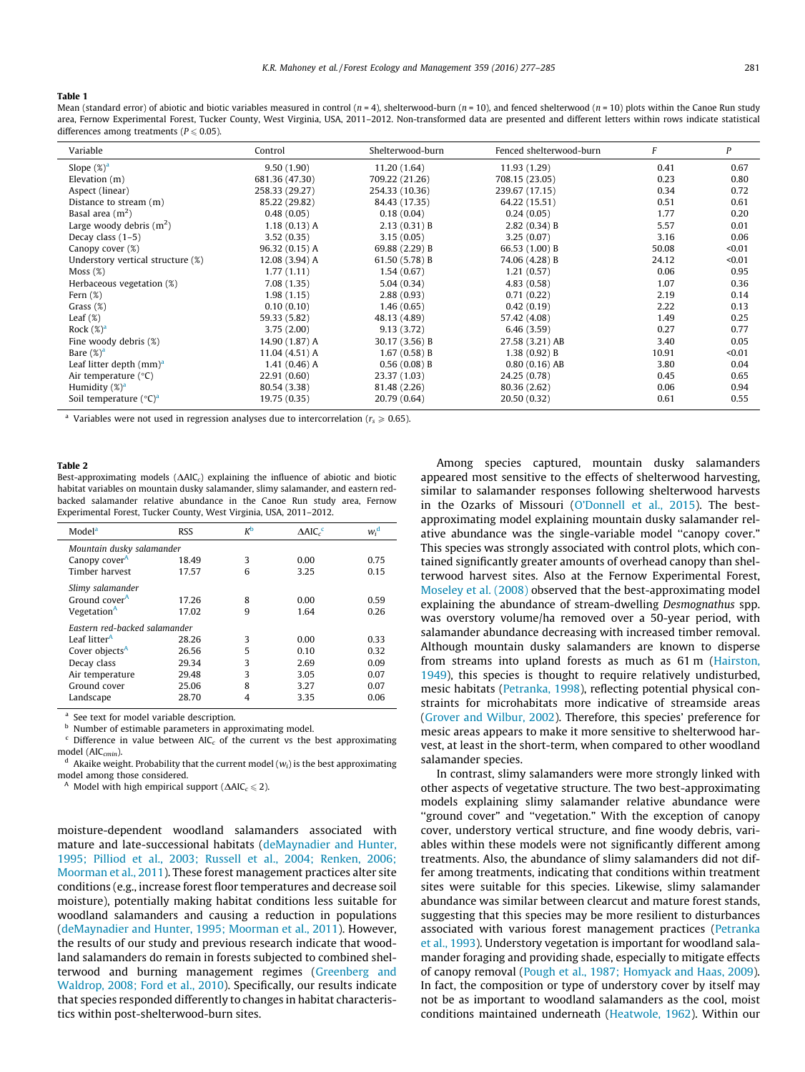<span id="page-4-0"></span>Table 1

Mean (standard error) of abiotic and biotic variables measured in control ( $n = 4$ ), shelterwood-burn ( $n = 10$ ), and fenced shelterwood ( $n = 10$ ) plots within the Canoe Run study area, Fernow Experimental Forest, Tucker County, West Virginia, USA, 2011–2012. Non-transformed data are presented and different letters within rows indicate statistical differences among treatments ( $P \le 0.05$ ).

| Variable                             | Control         | Shelterwood-burn | Fenced shelterwood-burn | F     | P      |
|--------------------------------------|-----------------|------------------|-------------------------|-------|--------|
| Slope $(\%)^a$                       | 9.50(1.90)      | 11.20 (1.64)     | 11.93 (1.29)            | 0.41  | 0.67   |
| Elevation $(m)$                      | 681.36 (47.30)  | 709.22 (21.26)   | 708.15 (23.05)          | 0.23  | 0.80   |
| Aspect (linear)                      | 258.33 (29.27)  | 254.33 (10.36)   | 239.67 (17.15)          | 0.34  | 0.72   |
| Distance to stream (m)               | 85.22 (29.82)   | 84.43 (17.35)    | 64.22 (15.51)           | 0.51  | 0.61   |
| Basal area $(m2)$                    | 0.48(0.05)      | 0.18(0.04)       | 0.24(0.05)              | 1.77  | 0.20   |
| Large woody debris $(m^2)$           | 1.18(0.13) A    | 2.13(0.31)B      | 2.82(0.34) B            | 5.57  | 0.01   |
| Decay class $(1-5)$                  | 3.52(0.35)      | 3.15(0.05)       | 3.25(0.07)              | 3.16  | 0.06   |
| Canopy cover (%)                     | 96.32 (0.15) A  | 69.88 (2.29) B   | 66.53 (1.00) B          | 50.08 | < 0.01 |
| Understory vertical structure (%)    | 12.08 (3.94) A  | 61.50 (5.78) B   | 74.06 (4.28) B          | 24.12 | < 0.01 |
| Moss $(\%)$                          | 1.77(1.11)      | 1.54(0.67)       | 1.21(0.57)              | 0.06  | 0.95   |
| Herbaceous vegetation (%)            | 7.08(1.35)      | 5.04(0.34)       | 4.83(0.58)              | 1.07  | 0.36   |
| Fern $(\%)$                          | 1.98(1.15)      | 2.88(0.93)       | 0.71(0.22)              | 2.19  | 0.14   |
| Grass $(\%)$                         | 0.10(0.10)      | 1.46(0.65)       | 0.42(0.19)              | 2.22  | 0.13   |
| Leaf $(\%)$                          | 59.33 (5.82)    | 48.13 (4.89)     | 57.42 (4.08)            | 1.49  | 0.25   |
| Rock $(\%)^a$                        | 3.75(2.00)      | 9.13(3.72)       | 6.46(3.59)              | 0.27  | 0.77   |
| Fine woody debris (%)                | 14.90 (1.87) A  | 30.17 (3.56) B   | 27.58 (3.21) AB         | 3.40  | 0.05   |
| Bare $(\%)^a$                        | $11.04(4.51)$ A | 1.67(0.58) B     | 1.38(0.92) B            | 10.91 | < 0.01 |
| Leaf litter depth $(mm)^a$           | 1.41(0.46) A    | 0.56(0.08) B     | $0.80(0.16)$ AB         | 3.80  | 0.04   |
| Air temperature $(^{\circ}C)$        | 22.91 (0.60)    | 23.37 (1.03)     | 24.25 (0.78)            | 0.45  | 0.65   |
| Humidity $(\%)^a$                    | 80.54 (3.38)    | 81.48 (2.26)     | 80.36 (2.62)            | 0.06  | 0.94   |
| Soil temperature $({}^{\circ}C)^{a}$ | 19.75 (0.35)    | 20.79 (0.64)     | 20.50 (0.32)            | 0.61  | 0.55   |

Variables were not used in regression analyses due to intercorrelation ( $r<sub>e</sub> \ge 0.65$ ).

#### Table 2

Best-approximating models  $(\Delta AIC_c)$  explaining the influence of abiotic and biotic habitat variables on mountain dusky salamander, slimy salamander, and eastern redbacked salamander relative abundance in the Canoe Run study area, Fernow Experimental Forest, Tucker County, West Virginia, USA, 2011–2012.

| Model <sup>a</sup>            | <b>RSS</b> | Кp | $\triangle$ AIC $_{c}$ <sup>c</sup> | $w_i^{\mathbf{d}}$ |
|-------------------------------|------------|----|-------------------------------------|--------------------|
| Mountain dusky salamander     |            |    |                                     |                    |
| Canopy cover <sup>A</sup>     | 18.49      | 3  | 0.00                                | 0.75               |
| Timber harvest                | 17.57      | 6  | 3.25                                | 0.15               |
| Slimy salamander              |            |    |                                     |                    |
| Ground cover <sup>A</sup>     | 17.26      | 8  | 0.00                                | 0.59               |
| Vegetation <sup>A</sup>       | 17.02      | 9  | 1.64                                | 0.26               |
| Eastern red-backed salamander |            |    |                                     |                    |
| Leaf litter <sup>A</sup>      | 28.26      | 3  | 0.00                                | 0.33               |
| Cover objects <sup>A</sup>    | 26.56      | 5  | 0.10                                | 0.32               |
| Decay class                   | 29.34      | 3  | 2.69                                | 0.09               |
| Air temperature               | 29.48      | 3  | 3.05                                | 0.07               |
| Ground cover                  | 25.06      | 8  | 3.27                                | 0.07               |
| Landscape                     | 28.70      | 4  | 3.35                                | 0.06               |
|                               |            |    |                                     |                    |

See text for model variable description.

<sup>b</sup> Number of estimable parameters in approximating model.

Difference in value between  $AIC_c$  of the current vs the best approximating model (AIC<sub>cmin</sub>). d Akaike weight. Probability that the current model ( $w_i$ ) is the best approximating

model among those considered.

<sup>A</sup> Model with high empirical support ( $\Delta AIC_c \leq 2$ ).

moisture-dependent woodland salamanders associated with mature and late-successional habitats ([deMaynadier and Hunter,](#page-7-0) [1995; Pilliod et al., 2003; Russell et al., 2004; Renken, 2006;](#page-7-0) [Moorman et al., 2011](#page-7-0)). These forest management practices alter site conditions (e.g., increase forest floor temperatures and decrease soil moisture), potentially making habitat conditions less suitable for woodland salamanders and causing a reduction in populations ([deMaynadier and Hunter, 1995; Moorman et al., 2011](#page-7-0)). However, the results of our study and previous research indicate that woodland salamanders do remain in forests subjected to combined shelterwood and burning management regimes ([Greenberg and](#page-7-0) [Waldrop, 2008; Ford et al., 2010\)](#page-7-0). Specifically, our results indicate that species responded differently to changes in habitat characteristics within post-shelterwood-burn sites.

Among species captured, mountain dusky salamanders appeared most sensitive to the effects of shelterwood harvesting, similar to salamander responses following shelterwood harvests in the Ozarks of Missouri [\(O'Donnell et al., 2015\)](#page-7-0). The bestapproximating model explaining mountain dusky salamander relative abundance was the single-variable model ''canopy cover." This species was strongly associated with control plots, which contained significantly greater amounts of overhead canopy than shelterwood harvest sites. Also at the Fernow Experimental Forest, [Moseley et al. \(2008\)](#page-7-0) observed that the best-approximating model explaining the abundance of stream-dwelling Desmognathus spp. was overstory volume/ha removed over a 50-year period, with salamander abundance decreasing with increased timber removal. Although mountain dusky salamanders are known to disperse from streams into upland forests as much as 61 m [\(Hairston,](#page-7-0) [1949\)](#page-7-0), this species is thought to require relatively undisturbed, mesic habitats [\(Petranka, 1998](#page-7-0)), reflecting potential physical constraints for microhabitats more indicative of streamside areas ([Grover and Wilbur, 2002\)](#page-7-0). Therefore, this species' preference for mesic areas appears to make it more sensitive to shelterwood harvest, at least in the short-term, when compared to other woodland salamander species.

In contrast, slimy salamanders were more strongly linked with other aspects of vegetative structure. The two best-approximating models explaining slimy salamander relative abundance were "ground cover" and "vegetation." With the exception of canopy cover, understory vertical structure, and fine woody debris, variables within these models were not significantly different among treatments. Also, the abundance of slimy salamanders did not differ among treatments, indicating that conditions within treatment sites were suitable for this species. Likewise, slimy salamander abundance was similar between clearcut and mature forest stands, suggesting that this species may be more resilient to disturbances associated with various forest management practices [\(Petranka](#page-7-0) [et al., 1993](#page-7-0)). Understory vegetation is important for woodland salamander foraging and providing shade, especially to mitigate effects of canopy removal ([Pough et al., 1987; Homyack and Haas, 2009\)](#page-7-0). In fact, the composition or type of understory cover by itself may not be as important to woodland salamanders as the cool, moist conditions maintained underneath [\(Heatwole, 1962\)](#page-7-0). Within our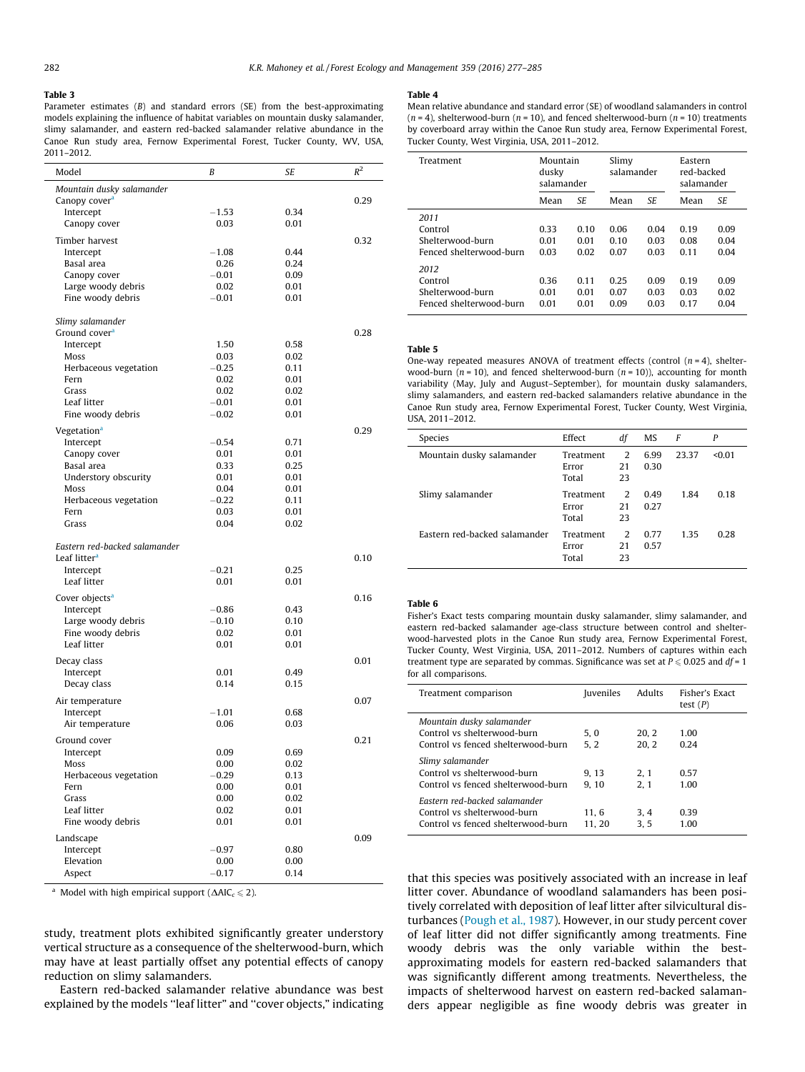#### <span id="page-5-0"></span>Table 3

Parameter estimates (B) and standard errors (SE) from the best-approximating models explaining the influence of habitat variables on mountain dusky salamander, slimy salamander, and eastern red-backed salamander relative abundance in the Canoe Run study area, Fernow Experimental Forest, Tucker County, WV, USA, 2011–2012.

| Model                                         | B               | SE           | $R^2$ |
|-----------------------------------------------|-----------------|--------------|-------|
| Mountain dusky salamander                     |                 |              |       |
| Canopy cover <sup>a</sup>                     |                 |              | 0.29  |
| Intercept                                     | $-1.53$         | 0.34         |       |
| Canopy cover                                  | 0.03            | 0.01         |       |
| Timber harvest                                |                 |              | 0.32  |
| Intercept                                     | $-1.08$         | 0.44         |       |
| Basal area                                    | 0.26            | 0.24         |       |
| Canopy cover                                  | $-0.01$         | 0.09         |       |
| Large woody debris                            | 0.02            | 0.01         |       |
| Fine woody debris                             | $-0.01$         | 0.01         |       |
|                                               |                 |              |       |
| Slimy salamander<br>Ground cover <sup>a</sup> |                 |              | 0.28  |
| Intercept                                     | 1.50            | 0.58         |       |
| Moss                                          | 0.03            | 0.02         |       |
| Herbaceous vegetation                         | $-0.25$         | 0.11         |       |
| Fern                                          | 0.02            | 0.01         |       |
| Grass                                         | 0.02            | 0.02         |       |
| Leaf litter                                   | $-0.01$         | 0.01         |       |
| Fine woody debris                             | $-0.02$         | 0.01         |       |
| Vegetation <sup>a</sup>                       |                 |              | 0.29  |
| Intercept                                     | $-0.54$         | 0.71         |       |
| Canopy cover                                  | 0.01            | 0.01         |       |
| Basal area                                    | 0.33            | 0.25         |       |
| Understory obscurity                          | 0.01            | 0.01         |       |
| Moss<br>Herbaceous vegetation                 | 0.04<br>$-0.22$ | 0.01<br>0.11 |       |
| Fern                                          | 0.03            | 0.01         |       |
| Grass                                         | 0.04            | 0.02         |       |
|                                               |                 |              |       |
| Eastern red-backed salamander                 |                 |              |       |
| Leaf litter <sup>a</sup>                      |                 |              | 0.10  |
| Intercept                                     | $-0.21$         | 0.25         |       |
| Leaf litter                                   | 0.01            | 0.01         |       |
| Cover objects <sup>a</sup>                    |                 |              | 0.16  |
| Intercept                                     | $-0.86$         | 0.43         |       |
| Large woody debris                            | $-0.10$         | 0.10         |       |
| Fine woody debris                             | 0.02            | 0.01         |       |
| Leaf litter                                   | 0.01            | 0.01         |       |
| Decay class                                   |                 |              | 0.01  |
| Intercept                                     | 0.01            | 0.49         |       |
| Decay class                                   | 0.14            | 0.15         |       |
| Air temperature                               |                 |              | 0.07  |
| Intercept                                     | $-1.01$         | 0.68         |       |
| Air temperature                               | 0.06            | 0.03         |       |
| Ground cover                                  |                 |              | 0.21  |
| Intercept                                     | 0.09            | 0.69         |       |
| Moss                                          | 0.00            | 0.02         |       |
| Herbaceous vegetation                         | $-0.29$         | 0.13         |       |
| Fern                                          | 0.00            | 0.01         |       |
| Grass                                         | 0.00            | 0.02         |       |
| Leaf litter<br>Fine woody debris              | 0.02<br>0.01    | 0.01<br>0.01 |       |
|                                               |                 |              |       |
| Landscape                                     |                 |              | 0.09  |
| Intercept                                     | $-0.97$         | 0.80         |       |
| Elevation<br>Aspect                           | 0.00<br>$-0.17$ | 0.00<br>0.14 |       |
|                                               |                 |              |       |

<sup>a</sup> Model with high empirical support ( $\Delta AIC_c \leq 2$ ).

study, treatment plots exhibited significantly greater understory vertical structure as a consequence of the shelterwood-burn, which may have at least partially offset any potential effects of canopy reduction on slimy salamanders.

Eastern red-backed salamander relative abundance was best explained by the models ''leaf litter" and ''cover objects," indicating

#### Table 4

Mean relative abundance and standard error (SE) of woodland salamanders in control  $(n = 4)$ , shelterwood-burn  $(n = 10)$ , and fenced shelterwood-burn  $(n = 10)$  treatments by coverboard array within the Canoe Run study area, Fernow Experimental Forest, Tucker County, West Virginia, USA, 2011–2012.

| Treatment                                                      | Mountain<br>dusky<br>salamander |                      | Slimy<br>salamander  |                      | Eastern<br>red-backed<br>salamander |                      |
|----------------------------------------------------------------|---------------------------------|----------------------|----------------------|----------------------|-------------------------------------|----------------------|
|                                                                | Mean                            | SE.                  | Mean                 | <b>SE</b>            | Mean                                | <b>SE</b>            |
| 2011<br>Control<br>Shelterwood-burn<br>Fenced shelterwood-burn | 0.33<br>0.01<br>0.03            | 0.10<br>0.01<br>0.02 | 0.06<br>0.10<br>0.07 | 0.04<br>0.03<br>0.03 | 0.19<br>0.08<br>0.11                | 0.09<br>0.04<br>0.04 |
| 2012<br>Control<br>Shelterwood-burn<br>Fenced shelterwood-burn | 0.36<br>0.01<br>0.01            | 0.11<br>0.01<br>0.01 | 0.25<br>0.07<br>0.09 | 0.09<br>0.03<br>0.03 | 0.19<br>0.03<br>0.17                | 0.09<br>0.02<br>0.04 |

## Table 5

One-way repeated measures ANOVA of treatment effects (control  $(n = 4)$ , shelterwood-burn  $(n = 10)$ , and fenced shelterwood-burn  $(n = 10)$ ), accounting for month variability (May, July and August–September), for mountain dusky salamanders, slimy salamanders, and eastern red-backed salamanders relative abundance in the Canoe Run study area, Fernow Experimental Forest, Tucker County, West Virginia, USA, 2011–2012.

| Species                       | Effect    | df | MS   | F     | P      |
|-------------------------------|-----------|----|------|-------|--------|
| Mountain dusky salamander     | Treatment | 2  | 6.99 | 23.37 | < 0.01 |
|                               | Error     | 21 | 0.30 |       |        |
|                               | Total     | 23 |      |       |        |
| Slimy salamander              | Treatment | 2  | 0.49 | 1.84  | 0.18   |
|                               | Error     | 21 | 0.27 |       |        |
|                               | Total     | 23 |      |       |        |
| Eastern red-backed salamander | Treatment | 2  | 0.77 | 1.35  | 0.28   |
|                               | Error     | 21 | 0.57 |       |        |
|                               | Total     | 23 |      |       |        |

## Table 6

Fisher's Exact tests comparing mountain dusky salamander, slimy salamander, and eastern red-backed salamander age-class structure between control and shelterwood-harvested plots in the Canoe Run study area, Fernow Experimental Forest, Tucker County, West Virginia, USA, 2011–2012. Numbers of captures within each treatment type are separated by commas. Significance was set at  $P \le 0.025$  and df = 1 for all comparisons.

| Treatment comparison                                                                               | Juveniles     | Adults        | Fisher's Exact<br>test $(P)$ |
|----------------------------------------------------------------------------------------------------|---------------|---------------|------------------------------|
| Mountain dusky salamander<br>Control vs shelterwood-burn<br>Control vs fenced shelterwood-burn     | 5.0<br>5, 2   | 20.2<br>20, 2 | 1.00<br>0.24                 |
| Slimy salamander<br>Control vs shelterwood-burn<br>Control vs fenced shelterwood-burn              | 9.13<br>9, 10 | 2.1<br>2.1    | 0.57<br>1.00                 |
| Eastern red-backed salamander<br>Control vs shelterwood-burn<br>Control vs fenced shelterwood-burn | 11.6<br>11.20 | 3.4<br>3.5    | 0.39<br>1.00                 |

that this species was positively associated with an increase in leaf litter cover. Abundance of woodland salamanders has been positively correlated with deposition of leaf litter after silvicultural disturbances ([Pough et al., 1987](#page-7-0)). However, in our study percent cover of leaf litter did not differ significantly among treatments. Fine woody debris was the only variable within the bestapproximating models for eastern red-backed salamanders that was significantly different among treatments. Nevertheless, the impacts of shelterwood harvest on eastern red-backed salamanders appear negligible as fine woody debris was greater in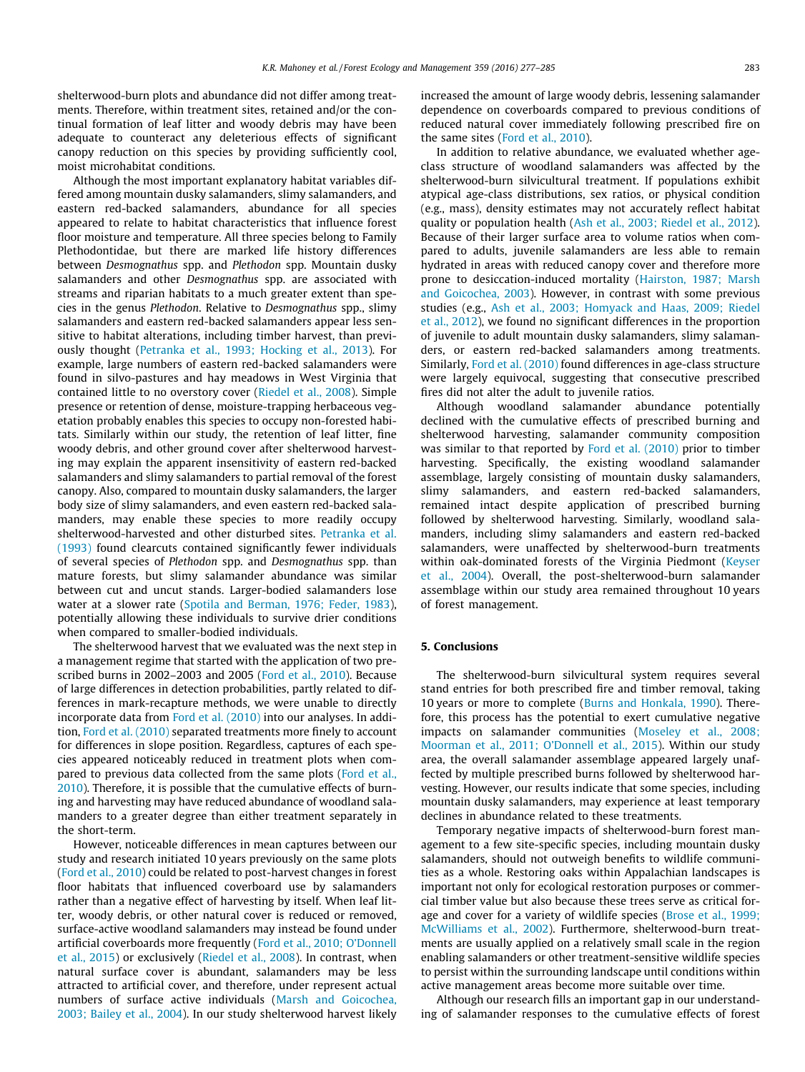shelterwood-burn plots and abundance did not differ among treatments. Therefore, within treatment sites, retained and/or the continual formation of leaf litter and woody debris may have been adequate to counteract any deleterious effects of significant canopy reduction on this species by providing sufficiently cool, moist microhabitat conditions.

Although the most important explanatory habitat variables differed among mountain dusky salamanders, slimy salamanders, and eastern red-backed salamanders, abundance for all species appeared to relate to habitat characteristics that influence forest floor moisture and temperature. All three species belong to Family Plethodontidae, but there are marked life history differences between Desmognathus spp. and Plethodon spp. Mountain dusky salamanders and other Desmognathus spp. are associated with streams and riparian habitats to a much greater extent than species in the genus Plethodon. Relative to Desmognathus spp., slimy salamanders and eastern red-backed salamanders appear less sensitive to habitat alterations, including timber harvest, than previously thought ([Petranka et al., 1993; Hocking et al., 2013\)](#page-7-0). For example, large numbers of eastern red-backed salamanders were found in silvo-pastures and hay meadows in West Virginia that contained little to no overstory cover [\(Riedel et al., 2008\)](#page-8-0). Simple presence or retention of dense, moisture-trapping herbaceous vegetation probably enables this species to occupy non-forested habitats. Similarly within our study, the retention of leaf litter, fine woody debris, and other ground cover after shelterwood harvesting may explain the apparent insensitivity of eastern red-backed salamanders and slimy salamanders to partial removal of the forest canopy. Also, compared to mountain dusky salamanders, the larger body size of slimy salamanders, and even eastern red-backed salamanders, may enable these species to more readily occupy shelterwood-harvested and other disturbed sites. [Petranka et al.](#page-7-0) [\(1993\)](#page-7-0) found clearcuts contained significantly fewer individuals of several species of Plethodon spp. and Desmognathus spp. than mature forests, but slimy salamander abundance was similar between cut and uncut stands. Larger-bodied salamanders lose water at a slower rate ([Spotila and Berman, 1976; Feder, 1983\)](#page-8-0), potentially allowing these individuals to survive drier conditions when compared to smaller-bodied individuals.

The shelterwood harvest that we evaluated was the next step in a management regime that started with the application of two prescribed burns in 2002–2003 and 2005 ([Ford et al., 2010\)](#page-7-0). Because of large differences in detection probabilities, partly related to differences in mark-recapture methods, we were unable to directly incorporate data from [Ford et al. \(2010\)](#page-7-0) into our analyses. In addition, [Ford et al. \(2010\)](#page-7-0) separated treatments more finely to account for differences in slope position. Regardless, captures of each species appeared noticeably reduced in treatment plots when compared to previous data collected from the same plots ([Ford et al.,](#page-7-0) [2010](#page-7-0)). Therefore, it is possible that the cumulative effects of burning and harvesting may have reduced abundance of woodland salamanders to a greater degree than either treatment separately in the short-term.

However, noticeable differences in mean captures between our study and research initiated 10 years previously on the same plots ([Ford et al., 2010\)](#page-7-0) could be related to post-harvest changes in forest floor habitats that influenced coverboard use by salamanders rather than a negative effect of harvesting by itself. When leaf litter, woody debris, or other natural cover is reduced or removed, surface-active woodland salamanders may instead be found under artificial coverboards more frequently ([Ford et al., 2010; O'Donnell](#page-7-0) [et al., 2015](#page-7-0)) or exclusively ([Riedel et al., 2008\)](#page-8-0). In contrast, when natural surface cover is abundant, salamanders may be less attracted to artificial cover, and therefore, under represent actual numbers of surface active individuals [\(Marsh and Goicochea,](#page-7-0) [2003; Bailey et al., 2004](#page-7-0)). In our study shelterwood harvest likely increased the amount of large woody debris, lessening salamander dependence on coverboards compared to previous conditions of reduced natural cover immediately following prescribed fire on the same sites ([Ford et al., 2010](#page-7-0)).

In addition to relative abundance, we evaluated whether ageclass structure of woodland salamanders was affected by the shelterwood-burn silvicultural treatment. If populations exhibit atypical age-class distributions, sex ratios, or physical condition (e.g., mass), density estimates may not accurately reflect habitat quality or population health ([Ash et al., 2003; Riedel et al., 2012\)](#page-7-0). Because of their larger surface area to volume ratios when compared to adults, juvenile salamanders are less able to remain hydrated in areas with reduced canopy cover and therefore more prone to desiccation-induced mortality [\(Hairston, 1987; Marsh](#page-7-0) [and Goicochea, 2003](#page-7-0)). However, in contrast with some previous studies (e.g., [Ash et al., 2003; Homyack and Haas, 2009; Riedel](#page-7-0) [et al., 2012](#page-7-0)), we found no significant differences in the proportion of juvenile to adult mountain dusky salamanders, slimy salamanders, or eastern red-backed salamanders among treatments. Similarly, [Ford et al. \(2010\)](#page-7-0) found differences in age-class structure were largely equivocal, suggesting that consecutive prescribed fires did not alter the adult to juvenile ratios.

Although woodland salamander abundance potentially declined with the cumulative effects of prescribed burning and shelterwood harvesting, salamander community composition was similar to that reported by [Ford et al. \(2010\)](#page-7-0) prior to timber harvesting. Specifically, the existing woodland salamander assemblage, largely consisting of mountain dusky salamanders, slimy salamanders, and eastern red-backed salamanders, remained intact despite application of prescribed burning followed by shelterwood harvesting. Similarly, woodland salamanders, including slimy salamanders and eastern red-backed salamanders, were unaffected by shelterwood-burn treatments within oak-dominated forests of the Virginia Piedmont [\(Keyser](#page-7-0) [et al., 2004](#page-7-0)). Overall, the post-shelterwood-burn salamander assemblage within our study area remained throughout 10 years of forest management.

## 5. Conclusions

The shelterwood-burn silvicultural system requires several stand entries for both prescribed fire and timber removal, taking 10 years or more to complete [\(Burns and Honkala, 1990\)](#page-7-0). Therefore, this process has the potential to exert cumulative negative impacts on salamander communities [\(Moseley et al., 2008;](#page-7-0) [Moorman et al., 2011; O'Donnell et al., 2015\)](#page-7-0). Within our study area, the overall salamander assemblage appeared largely unaffected by multiple prescribed burns followed by shelterwood harvesting. However, our results indicate that some species, including mountain dusky salamanders, may experience at least temporary declines in abundance related to these treatments.

Temporary negative impacts of shelterwood-burn forest management to a few site-specific species, including mountain dusky salamanders, should not outweigh benefits to wildlife communities as a whole. Restoring oaks within Appalachian landscapes is important not only for ecological restoration purposes or commercial timber value but also because these trees serve as critical forage and cover for a variety of wildlife species [\(Brose et al., 1999;](#page-7-0) [McWilliams et al., 2002](#page-7-0)). Furthermore, shelterwood-burn treatments are usually applied on a relatively small scale in the region enabling salamanders or other treatment-sensitive wildlife species to persist within the surrounding landscape until conditions within active management areas become more suitable over time.

Although our research fills an important gap in our understanding of salamander responses to the cumulative effects of forest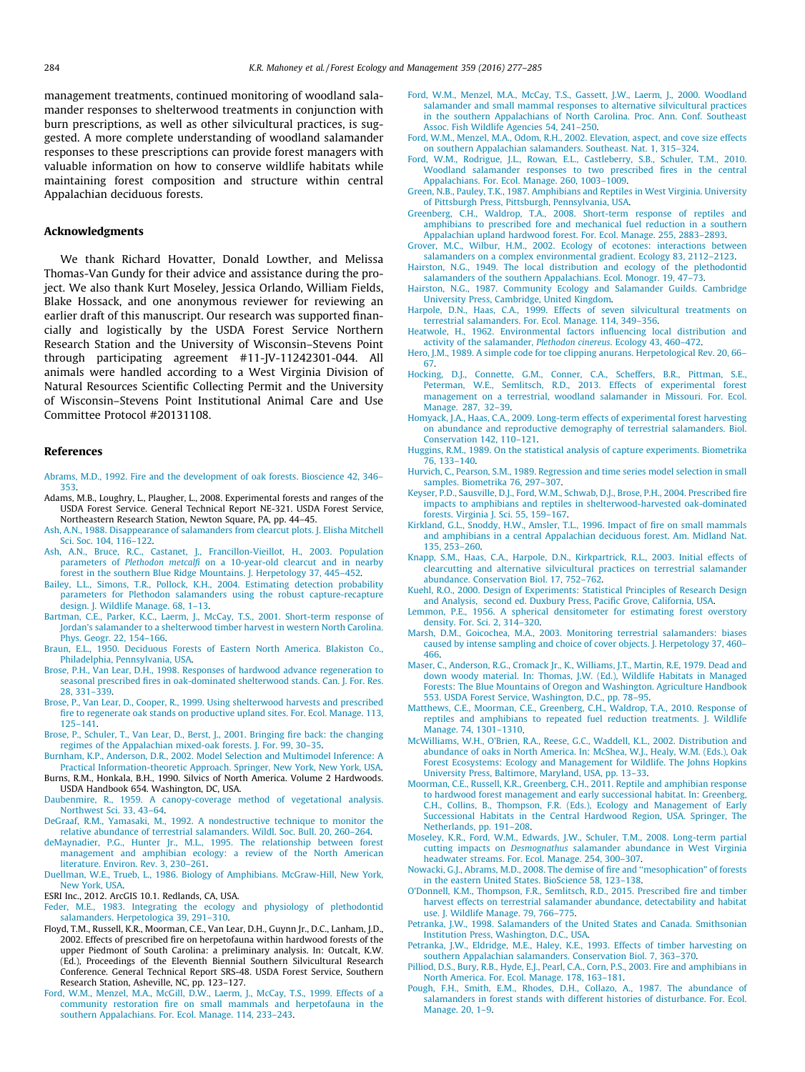<span id="page-7-0"></span>management treatments, continued monitoring of woodland salamander responses to shelterwood treatments in conjunction with burn prescriptions, as well as other silvicultural practices, is suggested. A more complete understanding of woodland salamander responses to these prescriptions can provide forest managers with valuable information on how to conserve wildlife habitats while maintaining forest composition and structure within central Appalachian deciduous forests.

### Acknowledgments

We thank Richard Hovatter, Donald Lowther, and Melissa Thomas-Van Gundy for their advice and assistance during the project. We also thank Kurt Moseley, Jessica Orlando, William Fields, Blake Hossack, and one anonymous reviewer for reviewing an earlier draft of this manuscript. Our research was supported financially and logistically by the USDA Forest Service Northern Research Station and the University of Wisconsin–Stevens Point through participating agreement #11-JV-11242301-044. All animals were handled according to a West Virginia Division of Natural Resources Scientific Collecting Permit and the University of Wisconsin–Stevens Point Institutional Animal Care and Use Committee Protocol #20131108.

## References

[Abrams, M.D., 1992. Fire and the development of oak forests. Bioscience 42, 346–](http://refhub.elsevier.com/S0378-1127(15)00537-X/h0005) [353](http://refhub.elsevier.com/S0378-1127(15)00537-X/h0005).

- Adams, M.B., Loughry, L., Plaugher, L., 2008. Experimental forests and ranges of the USDA Forest Service. General Technical Report NE-321. USDA Forest Service, Northeastern Research Station, Newton Square, PA, pp. 44–45.
- [Ash, A.N., 1988. Disappearance of salamanders from clearcut plots. J. Elisha Mitchell](http://refhub.elsevier.com/S0378-1127(15)00537-X/h0015) [Sci. Soc. 104, 116–122.](http://refhub.elsevier.com/S0378-1127(15)00537-X/h0015)
- [Ash, A.N., Bruce, R.C., Castanet, J., Francillon-Vieillot, H., 2003. Population](http://refhub.elsevier.com/S0378-1127(15)00537-X/h0020) parameters of Plethodon metcalfi [on a 10-year-old clearcut and in nearby](http://refhub.elsevier.com/S0378-1127(15)00537-X/h0020) [forest in the southern Blue Ridge Mountains. J. Herpetology 37, 445–452.](http://refhub.elsevier.com/S0378-1127(15)00537-X/h0020)
- [Bailey, L.L., Simons, T.R., Pollock, K.H., 2004. Estimating detection probability](http://refhub.elsevier.com/S0378-1127(15)00537-X/h0025) [parameters for Plethodon salamanders using the robust capture-recapture](http://refhub.elsevier.com/S0378-1127(15)00537-X/h0025) [design. J. Wildlife Manage. 68, 1–13](http://refhub.elsevier.com/S0378-1127(15)00537-X/h0025).
- [Bartman, C.E., Parker, K.C., Laerm, J., McCay, T.S., 2001. Short-term response of](http://refhub.elsevier.com/S0378-1127(15)00537-X/h0030) [Jordan's salamander to a shelterwood timber harvest in western North Carolina.](http://refhub.elsevier.com/S0378-1127(15)00537-X/h0030) [Phys. Geogr. 22, 154–166](http://refhub.elsevier.com/S0378-1127(15)00537-X/h0030).
- [Braun, E.L., 1950. Deciduous Forests of Eastern North America. Blakiston Co.,](http://refhub.elsevier.com/S0378-1127(15)00537-X/h0035) [Philadelphia, Pennsylvania, USA.](http://refhub.elsevier.com/S0378-1127(15)00537-X/h0035)
- [Brose, P.H., Van Lear, D.H., 1998. Responses of hardwood advance regeneration to](http://refhub.elsevier.com/S0378-1127(15)00537-X/h0040) [seasonal prescribed fires in oak-dominated shelterwood stands. Can. J. For. Res.](http://refhub.elsevier.com/S0378-1127(15)00537-X/h0040) [28, 331–339.](http://refhub.elsevier.com/S0378-1127(15)00537-X/h0040)
- [Brose, P., Van Lear, D., Cooper, R., 1999. Using shelterwood harvests and prescribed](http://refhub.elsevier.com/S0378-1127(15)00537-X/h0045) [fire to regenerate oak stands on productive upland sites. For. Ecol. Manage. 113,](http://refhub.elsevier.com/S0378-1127(15)00537-X/h0045) [125–141](http://refhub.elsevier.com/S0378-1127(15)00537-X/h0045).
- [Brose, P., Schuler, T., Van Lear, D., Berst, J., 2001. Bringing fire back: the changing](http://refhub.elsevier.com/S0378-1127(15)00537-X/h0050) [regimes of the Appalachian mixed-oak forests. J. For. 99, 30–35.](http://refhub.elsevier.com/S0378-1127(15)00537-X/h0050)
- [Burnham, K.P., Anderson, D.R., 2002. Model Selection and Multimodel Inference: A](http://refhub.elsevier.com/S0378-1127(15)00537-X/h0055) [Practical Information-theoretic Approach. Springer, New York, New York, USA.](http://refhub.elsevier.com/S0378-1127(15)00537-X/h0055)
- Burns, R.M., Honkala, B.H., 1990. Silvics of North America. Volume 2 Hardwoods. USDA Handbook 654. Washington, DC, USA. [Daubenmire, R., 1959. A canopy-coverage method of vegetational analysis.](http://refhub.elsevier.com/S0378-1127(15)00537-X/h0065)
- [Northwest Sci. 33, 43–64](http://refhub.elsevier.com/S0378-1127(15)00537-X/h0065).
- [DeGraaf, R.M., Yamasaki, M., 1992. A nondestructive technique to monitor the](http://refhub.elsevier.com/S0378-1127(15)00537-X/h0070) [relative abundance of terrestrial salamanders. Wildl. Soc. Bull. 20, 260–264](http://refhub.elsevier.com/S0378-1127(15)00537-X/h0070).
- [deMaynadier, P.G., Hunter Jr., M.L., 1995. The relationship between forest](http://refhub.elsevier.com/S0378-1127(15)00537-X/h0075) [management and amphibian ecology: a review of the North American](http://refhub.elsevier.com/S0378-1127(15)00537-X/h0075) [literature. Environ. Rev. 3, 230–261.](http://refhub.elsevier.com/S0378-1127(15)00537-X/h0075)
- [Duellman, W.E., Trueb, L., 1986. Biology of Amphibians. McGraw-Hill, New York,](http://refhub.elsevier.com/S0378-1127(15)00537-X/h0080) [New York, USA.](http://refhub.elsevier.com/S0378-1127(15)00537-X/h0080)
- ESRI Inc., 2012. ArcGIS 10.1. Redlands, CA, USA.
- [Feder, M.E., 1983. Integrating the ecology and physiology of plethodontid](http://refhub.elsevier.com/S0378-1127(15)00537-X/h0090) [salamanders. Herpetologica 39, 291–310.](http://refhub.elsevier.com/S0378-1127(15)00537-X/h0090)
- Floyd, T.M., Russell, K.R., Moorman, C.E., Van Lear, D.H., Guynn Jr., D.C., Lanham, J.D., 2002. Effects of prescribed fire on herpetofauna within hardwood forests of the upper Piedmont of South Carolina: a preliminary analysis. In: Outcalt, K.W. (Ed.), Proceedings of the Eleventh Biennial Southern Silvicultural Research Conference. General Technical Report SRS-48. USDA Forest Service, Southern Research Station, Asheville, NC, pp. 123–127.
- [Ford, W.M., Menzel, M.A., McGill, D.W., Laerm, J., McCay, T.S., 1999. Effects of a](http://refhub.elsevier.com/S0378-1127(15)00537-X/h0100) [community restoration fire on small mammals and herpetofauna in the](http://refhub.elsevier.com/S0378-1127(15)00537-X/h0100) [southern Appalachians. For. Ecol. Manage. 114, 233–243.](http://refhub.elsevier.com/S0378-1127(15)00537-X/h0100)
- [Ford, W.M., Menzel, M.A., McCay, T.S., Gassett, J.W., Laerm, J., 2000. Woodland](http://refhub.elsevier.com/S0378-1127(15)00537-X/h0105) [salamander and small mammal responses to alternative silvicultural practices](http://refhub.elsevier.com/S0378-1127(15)00537-X/h0105) [in the southern Appalachians of North Carolina. Proc. Ann. Conf. Southeast](http://refhub.elsevier.com/S0378-1127(15)00537-X/h0105) [Assoc. Fish Wildlife Agencies 54, 241–250.](http://refhub.elsevier.com/S0378-1127(15)00537-X/h0105)
- [Ford, W.M., Menzel, M.A., Odom, R.H., 2002. Elevation, aspect, and cove size effects](http://refhub.elsevier.com/S0378-1127(15)00537-X/h0110) [on southern Appalachian salamanders. Southeast. Nat. 1, 315–324.](http://refhub.elsevier.com/S0378-1127(15)00537-X/h0110)
- [Ford, W.M., Rodrigue, J.L., Rowan, E.L., Castleberry, S.B., Schuler, T.M., 2010.](http://refhub.elsevier.com/S0378-1127(15)00537-X/h0115) [Woodland salamander responses to two prescribed fires in the central](http://refhub.elsevier.com/S0378-1127(15)00537-X/h0115) [Appalachians. For. Ecol. Manage. 260, 1003–1009.](http://refhub.elsevier.com/S0378-1127(15)00537-X/h0115)
- [Green, N.B., Pauley, T.K., 1987. Amphibians and Reptiles in West Virginia. University](http://refhub.elsevier.com/S0378-1127(15)00537-X/h0120) [of Pittsburgh Press, Pittsburgh, Pennsylvania, USA](http://refhub.elsevier.com/S0378-1127(15)00537-X/h0120).
- [Greenberg, C.H., Waldrop, T.A., 2008. Short-term response of reptiles and](http://refhub.elsevier.com/S0378-1127(15)00537-X/h0125) [amphibians to prescribed fore and mechanical fuel reduction in a southern](http://refhub.elsevier.com/S0378-1127(15)00537-X/h0125) [Appalachian upland hardwood forest. For. Ecol. Manage. 255, 2883–2893.](http://refhub.elsevier.com/S0378-1127(15)00537-X/h0125)
- [Grover, M.C., Wilbur, H.M., 2002. Ecology of ecotones: interactions between](http://refhub.elsevier.com/S0378-1127(15)00537-X/h0130) [salamanders on a complex environmental gradient. Ecology 83, 2112–2123.](http://refhub.elsevier.com/S0378-1127(15)00537-X/h0130)
- [Hairston, N.G., 1949. The local distribution and ecology of the plethodontid](http://refhub.elsevier.com/S0378-1127(15)00537-X/h0135) [salamanders of the southern Appalachians. Ecol. Monogr. 19, 47–73.](http://refhub.elsevier.com/S0378-1127(15)00537-X/h0135)
- [Hairston, N.G., 1987. Community Ecology and Salamander Guilds. Cambridge](http://refhub.elsevier.com/S0378-1127(15)00537-X/h0140) [University Press, Cambridge, United Kingdom](http://refhub.elsevier.com/S0378-1127(15)00537-X/h0140).
- [Harpole, D.N., Haas, C.A., 1999. Effects of seven silvicultural treatments on](http://refhub.elsevier.com/S0378-1127(15)00537-X/h0145) [terrestrial salamanders. For. Ecol. Manage. 114, 349–356](http://refhub.elsevier.com/S0378-1127(15)00537-X/h0145).
- [Heatwole, H., 1962. Environmental factors influencing local distribution and](http://refhub.elsevier.com/S0378-1127(15)00537-X/h0150) [activity of the salamander,](http://refhub.elsevier.com/S0378-1127(15)00537-X/h0150) Plethodon cinereus. Ecology 43, 460–472.
- [Hero, J.M., 1989. A simple code for toe clipping anurans. Herpetological Rev. 20, 66–](http://refhub.elsevier.com/S0378-1127(15)00537-X/h0155) [67](http://refhub.elsevier.com/S0378-1127(15)00537-X/h0155). [Hocking, D.J., Connette, G.M., Conner, C.A., Scheffers, B.R., Pittman, S.E.,](http://refhub.elsevier.com/S0378-1127(15)00537-X/h0160)
- [Peterman, W.E., Semlitsch, R.D., 2013. Effects of experimental forest](http://refhub.elsevier.com/S0378-1127(15)00537-X/h0160) [management on a terrestrial, woodland salamander in Missouri. For. Ecol.](http://refhub.elsevier.com/S0378-1127(15)00537-X/h0160) [Manage. 287, 32–39.](http://refhub.elsevier.com/S0378-1127(15)00537-X/h0160)
- [Homyack, J.A., Haas, C.A., 2009. Long-term effects of experimental forest harvesting](http://refhub.elsevier.com/S0378-1127(15)00537-X/h0165) [on abundance and reproductive demography of terrestrial salamanders. Biol.](http://refhub.elsevier.com/S0378-1127(15)00537-X/h0165) [Conservation 142, 110–121](http://refhub.elsevier.com/S0378-1127(15)00537-X/h0165).
- [Huggins, R.M., 1989. On the statistical analysis of capture experiments. Biometrika](http://refhub.elsevier.com/S0378-1127(15)00537-X/h0170) [76, 133–140.](http://refhub.elsevier.com/S0378-1127(15)00537-X/h0170)
- [Hurvich, C., Pearson, S.M., 1989. Regression and time series model selection in small](http://refhub.elsevier.com/S0378-1127(15)00537-X/h0175) [samples. Biometrika 76, 297–307](http://refhub.elsevier.com/S0378-1127(15)00537-X/h0175).
- [Keyser, P.D., Sausville, D.J., Ford, W.M., Schwab, D.J., Brose, P.H., 2004. Prescribed fire](http://refhub.elsevier.com/S0378-1127(15)00537-X/h0180) [impacts to amphibians and reptiles in shelterwood-harvested oak-dominated](http://refhub.elsevier.com/S0378-1127(15)00537-X/h0180) [forests. Virginia J. Sci. 55, 159–167.](http://refhub.elsevier.com/S0378-1127(15)00537-X/h0180)
- [Kirkland, G.L., Snoddy, H.W., Amsler, T.L., 1996. Impact of fire on small mammals](http://refhub.elsevier.com/S0378-1127(15)00537-X/h0185) [and amphibians in a central Appalachian deciduous forest. Am. Midland Nat.](http://refhub.elsevier.com/S0378-1127(15)00537-X/h0185) [135, 253–260](http://refhub.elsevier.com/S0378-1127(15)00537-X/h0185).
- [Knapp, S.M., Haas, C.A., Harpole, D.N., Kirkpartrick, R.L., 2003. Initial effects of](http://refhub.elsevier.com/S0378-1127(15)00537-X/h0190) [clearcutting and alternative silvicultural practices on terrestrial salamander](http://refhub.elsevier.com/S0378-1127(15)00537-X/h0190) [abundance. Conservation Biol. 17, 752–762](http://refhub.elsevier.com/S0378-1127(15)00537-X/h0190).
- [Kuehl, R.O., 2000. Design of Experiments: Statistical Principles of Research Design](http://refhub.elsevier.com/S0378-1127(15)00537-X/h0195) [and Analysis, second ed. Duxbury Press, Pacific Grove, California, USA.](http://refhub.elsevier.com/S0378-1127(15)00537-X/h0195)
- [Lemmon, P.E., 1956. A spherical densitometer for estimating forest overstory](http://refhub.elsevier.com/S0378-1127(15)00537-X/h0200) [density. For. Sci. 2, 314–320](http://refhub.elsevier.com/S0378-1127(15)00537-X/h0200).
- [Marsh, D.M., Goicochea, M.A., 2003. Monitoring terrestrial salamanders: biases](http://refhub.elsevier.com/S0378-1127(15)00537-X/h0205) [caused by intense sampling and choice of cover objects. J. Herpetology 37, 460–](http://refhub.elsevier.com/S0378-1127(15)00537-X/h0205) [466](http://refhub.elsevier.com/S0378-1127(15)00537-X/h0205).
- [Maser, C., Anderson, R.G., Cromack Jr., K., Williams, J.T., Martin, R.E, 1979. Dead and](http://refhub.elsevier.com/S0378-1127(15)00537-X/h0210) [down woody material. In: Thomas, J.W. \(Ed.\), Wildlife Habitats in Managed](http://refhub.elsevier.com/S0378-1127(15)00537-X/h0210) [Forests: The Blue Mountains of Oregon and Washington. Agriculture Handbook](http://refhub.elsevier.com/S0378-1127(15)00537-X/h0210) [553. USDA Forest Service, Washington, D.C., pp. 78–95](http://refhub.elsevier.com/S0378-1127(15)00537-X/h0210).
- [Matthews, C.E., Moorman, C.E., Greenberg, C.H., Waldrop, T.A., 2010. Response of](http://refhub.elsevier.com/S0378-1127(15)00537-X/h0215) [reptiles and amphibians to repeated fuel reduction treatments. J. Wildlife](http://refhub.elsevier.com/S0378-1127(15)00537-X/h0215) [Manage. 74, 1301–1310.](http://refhub.elsevier.com/S0378-1127(15)00537-X/h0215)
- [McWilliams, W.H., O'Brien, R.A., Reese, G.C., Waddell, K.L., 2002. Distribution and](http://refhub.elsevier.com/S0378-1127(15)00537-X/h0220) [abundance of oaks in North America. In: McShea, W.J., Healy, W.M. \(Eds.\), Oak](http://refhub.elsevier.com/S0378-1127(15)00537-X/h0220) [Forest Ecosystems: Ecology and Management for Wildlife. The Johns Hopkins](http://refhub.elsevier.com/S0378-1127(15)00537-X/h0220) [University Press, Baltimore, Maryland, USA, pp. 13–33.](http://refhub.elsevier.com/S0378-1127(15)00537-X/h0220)
- [Moorman, C.E., Russell, K.R., Greenberg, C.H., 2011. Reptile and amphibian response](http://refhub.elsevier.com/S0378-1127(15)00537-X/h0225) [to hardwood forest management and early successional habitat. In: Greenberg,](http://refhub.elsevier.com/S0378-1127(15)00537-X/h0225) [C.H., Collins, B., Thompson, F.R. \(Eds.\), Ecology and Management of Early](http://refhub.elsevier.com/S0378-1127(15)00537-X/h0225) [Successional Habitats in the Central Hardwood Region, USA. Springer, The](http://refhub.elsevier.com/S0378-1127(15)00537-X/h0225) [Netherlands, pp. 191–208](http://refhub.elsevier.com/S0378-1127(15)00537-X/h0225).
- [Moseley, K.R., Ford, W.M., Edwards, J.W., Schuler, T.M., 2008. Long-term partial](http://refhub.elsevier.com/S0378-1127(15)00537-X/h0230) cutting impacts on Desmognathus [salamander abundance in West Virginia](http://refhub.elsevier.com/S0378-1127(15)00537-X/h0230) [headwater streams. For. Ecol. Manage. 254, 300–307](http://refhub.elsevier.com/S0378-1127(15)00537-X/h0230).
- [Nowacki, G.J., Abrams, M.D., 2008. The demise of fire and ''mesophication" of forests](http://refhub.elsevier.com/S0378-1127(15)00537-X/h0235) [in the eastern United States. BioScience 58, 123–138](http://refhub.elsevier.com/S0378-1127(15)00537-X/h0235).
- [O'Donnell, K.M., Thompson, F.R., Semlitsch, R.D., 2015. Prescribed fire and timber](http://refhub.elsevier.com/S0378-1127(15)00537-X/h0240) [harvest effects on terrestrial salamander abundance, detectability and habitat](http://refhub.elsevier.com/S0378-1127(15)00537-X/h0240) [use. J. Wildlife Manage. 79, 766–775](http://refhub.elsevier.com/S0378-1127(15)00537-X/h0240).
- [Petranka, J.W., 1998. Salamanders of the United States and Canada. Smithsonian](http://refhub.elsevier.com/S0378-1127(15)00537-X/h0245) [Institution Press, Washington, D.C., USA.](http://refhub.elsevier.com/S0378-1127(15)00537-X/h0245)
- [Petranka, J.W., Eldridge, M.E., Haley, K.E., 1993. Effects of timber harvesting on](http://refhub.elsevier.com/S0378-1127(15)00537-X/h0250) [southern Appalachian salamanders. Conservation Biol. 7, 363–370](http://refhub.elsevier.com/S0378-1127(15)00537-X/h0250).
- [Pilliod, D.S., Bury, R.B., Hyde, E.J., Pearl, C.A., Corn, P.S., 2003. Fire and amphibians in](http://refhub.elsevier.com/S0378-1127(15)00537-X/h0255) [North America. For. Ecol. Manage. 178, 163–181.](http://refhub.elsevier.com/S0378-1127(15)00537-X/h0255)
- [Pough, F.H., Smith, E.M., Rhodes, D.H., Collazo, A., 1987. The abundance of](http://refhub.elsevier.com/S0378-1127(15)00537-X/h0260) [salamanders in forest stands with different histories of disturbance. For. Ecol.](http://refhub.elsevier.com/S0378-1127(15)00537-X/h0260) [Manage. 20, 1–9.](http://refhub.elsevier.com/S0378-1127(15)00537-X/h0260)